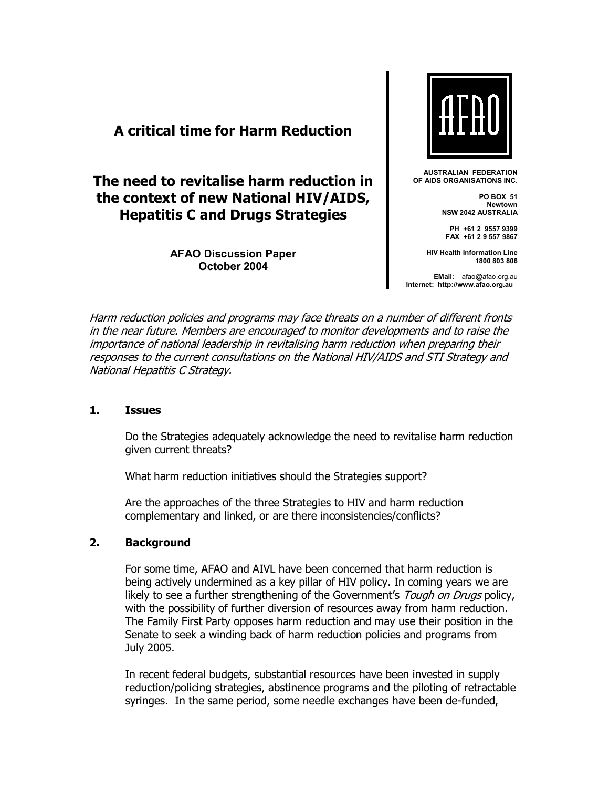# **A critical time for Harm Reduction**

# **The need to revitalise harm reduction in the context of new National HIV/AIDS, Hepatitis C and Drugs Strategies**

**AFAO Discussion Paper October 2004** 



**AUSTRALIAN FEDERATION OF AIDS ORGANISATIONS INC.** 

> **PO BOX 51 Newtown NSW 2042 AUSTRALIA**

**PH +61 2 9557 9399 FAX +61 2 9 557 9867** 

**HIV Health Information Line 1800 803 806** 

**EMail:** afao@afao.org.au **Internet: http://www.afao.org.au**

Harm reduction policies and programs may face threats on a number of different fronts in the near future. Members are encouraged to monitor developments and to raise the importance of national leadership in revitalising harm reduction when preparing their responses to the current consultations on the National HIV/AIDS and STI Strategy and National Hepatitis C Strategy.

### **1. Issues**

Do the Strategies adequately acknowledge the need to revitalise harm reduction given current threats?

What harm reduction initiatives should the Strategies support?

Are the approaches of the three Strategies to HIV and harm reduction complementary and linked, or are there inconsistencies/conflicts?

### **2. Background**

For some time, AFAO and AIVL have been concerned that harm reduction is being actively undermined as a key pillar of HIV policy. In coming years we are likely to see a further strengthening of the Government's *Tough on Drugs* policy, with the possibility of further diversion of resources away from harm reduction. The Family First Party opposes harm reduction and may use their position in the Senate to seek a winding back of harm reduction policies and programs from July 2005.

In recent federal budgets, substantial resources have been invested in supply reduction/policing strategies, abstinence programs and the piloting of retractable syringes. In the same period, some needle exchanges have been de-funded,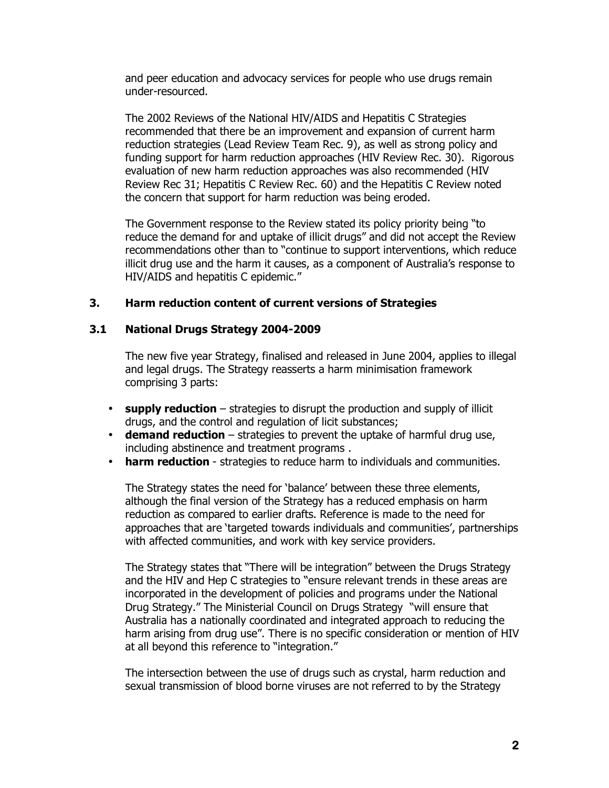and peer education and advocacy services for people who use drugs remain under-resourced.

The 2002 Reviews of the National HIV/AIDS and Hepatitis C Strategies recommended that there be an improvement and expansion of current harm reduction strategies (Lead Review Team Rec. 9), as well as strong policy and funding support for harm reduction approaches (HIV Review Rec. 30). Rigorous evaluation of new harm reduction approaches was also recommended (HIV Review Rec 31; Hepatitis C Review Rec. 60) and the Hepatitis C Review noted the concern that support for harm reduction was being eroded.

The Government response to the Review stated its policy priority being "to reduce the demand for and uptake of illicit drugs" and did not accept the Review recommendations other than to "continue to support interventions, which reduce illicit drug use and the harm it causes, as a component of Australia's response to HIV/AIDS and hepatitis C epidemic."

## **3. Harm reduction content of current versions of Strategies**

### **3.1 National Drugs Strategy 2004-2009**

The new five year Strategy, finalised and released in June 2004, applies to illegal and legal drugs. The Strategy reasserts a harm minimisation framework comprising 3 parts:

- **supply reduction** strategies to disrupt the production and supply of illicit drugs, and the control and regulation of licit substances;
- **demand reduction** strategies to prevent the uptake of harmful drug use, including abstinence and treatment programs .
- **harm reduction**  strategies to reduce harm to individuals and communities.

The Strategy states the need for 'balance' between these three elements, although the final version of the Strategy has a reduced emphasis on harm reduction as compared to earlier drafts. Reference is made to the need for approaches that are 'targeted towards individuals and communities', partnerships with affected communities, and work with key service providers.

The Strategy states that "There will be integration" between the Drugs Strategy and the HIV and Hep C strategies to "ensure relevant trends in these areas are incorporated in the development of policies and programs under the National Drug Strategy." The Ministerial Council on Drugs Strategy "will ensure that Australia has a nationally coordinated and integrated approach to reducing the harm arising from drug use". There is no specific consideration or mention of HIV at all beyond this reference to "integration."

The intersection between the use of drugs such as crystal, harm reduction and sexual transmission of blood borne viruses are not referred to by the Strategy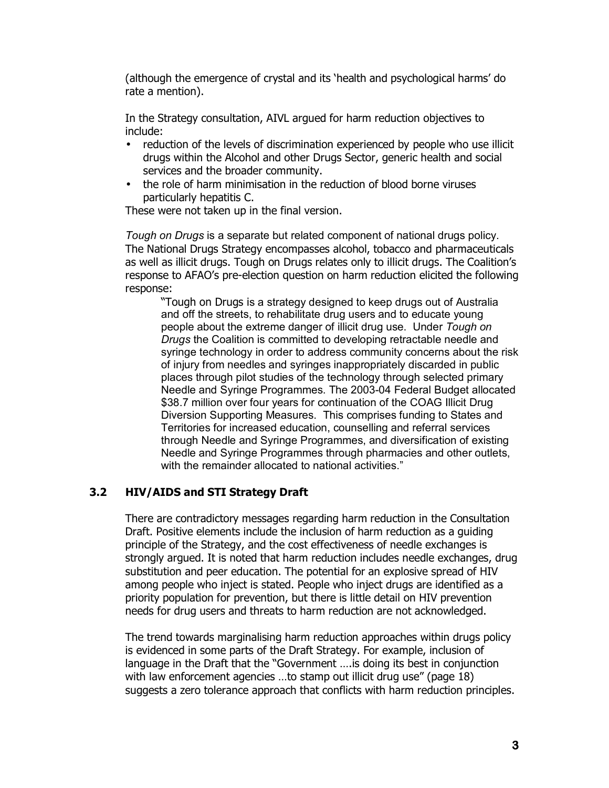(although the emergence of crystal and its 'health and psychological harms' do rate a mention).

In the Strategy consultation, AIVL argued for harm reduction objectives to include:

- reduction of the levels of discrimination experienced by people who use illicit drugs within the Alcohol and other Drugs Sector, generic health and social services and the broader community.
- the role of harm minimisation in the reduction of blood borne viruses particularly hepatitis C.

These were not taken up in the final version.

*Tough on Drugs* is a separate but related component of national drugs policy. The National Drugs Strategy encompasses alcohol, tobacco and pharmaceuticals as well as illicit drugs. Tough on Drugs relates only to illicit drugs. The Coalition's response to AFAOís pre-election question on harm reduction elicited the following response:

ìTough on Drugs is a strategy designed to keep drugs out of Australia and off the streets, to rehabilitate drug users and to educate young people about the extreme danger of illicit drug use. Under *Tough on Drugs* the Coalition is committed to developing retractable needle and syringe technology in order to address community concerns about the risk of injury from needles and syringes inappropriately discarded in public places through pilot studies of the technology through selected primary Needle and Syringe Programmes. The 2003-04 Federal Budget allocated \$38.7 million over four years for continuation of the COAG Illicit Drug Diversion Supporting Measures. This comprises funding to States and Territories for increased education, counselling and referral services through Needle and Syringe Programmes, and diversification of existing Needle and Syringe Programmes through pharmacies and other outlets, with the remainder allocated to national activities."

# **3.2 HIV/AIDS and STI Strategy Draft**

There are contradictory messages regarding harm reduction in the Consultation Draft. Positive elements include the inclusion of harm reduction as a guiding principle of the Strategy, and the cost effectiveness of needle exchanges is strongly argued. It is noted that harm reduction includes needle exchanges, drug substitution and peer education. The potential for an explosive spread of HIV among people who inject is stated. People who inject drugs are identified as a priority population for prevention, but there is little detail on HIV prevention needs for drug users and threats to harm reduction are not acknowledged.

The trend towards marginalising harm reduction approaches within drugs policy is evidenced in some parts of the Draft Strategy. For example, inclusion of language in the Draft that the "Government .... is doing its best in conjunction with law enforcement agencies  $\dots$  to stamp out illicit drug use" (page 18) suggests a zero tolerance approach that conflicts with harm reduction principles.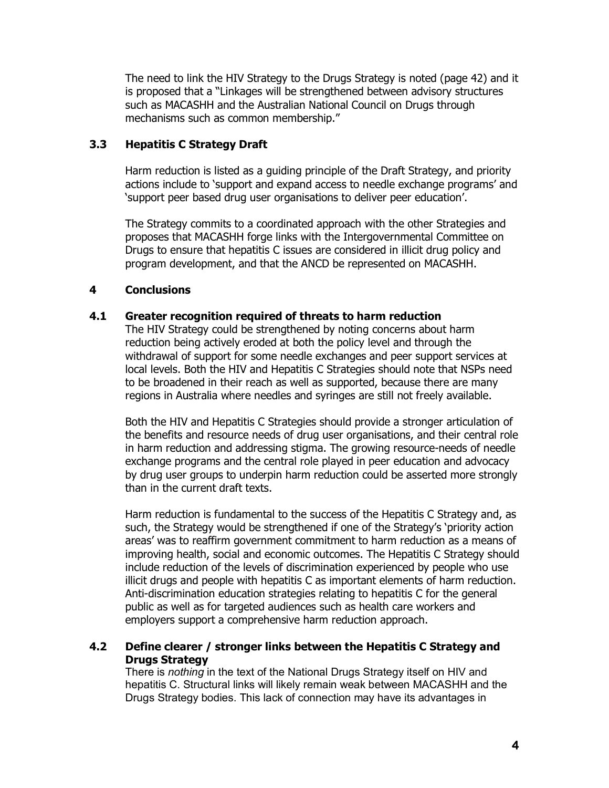The need to link the HIV Strategy to the Drugs Strategy is noted (page 42) and it is proposed that a "Linkages will be strengthened between advisory structures such as MACASHH and the Australian National Council on Drugs through mechanisms such as common membership."

# **3.3 Hepatitis C Strategy Draft**

Harm reduction is listed as a guiding principle of the Draft Strategy, and priority actions include to 'support and expand access to needle exchange programs' and 'support peer based drug user organisations to deliver peer education'.

The Strategy commits to a coordinated approach with the other Strategies and proposes that MACASHH forge links with the Intergovernmental Committee on Drugs to ensure that hepatitis C issues are considered in illicit drug policy and program development, and that the ANCD be represented on MACASHH.

# **4 Conclusions**

## **4.1 Greater recognition required of threats to harm reduction**

The HIV Strategy could be strengthened by noting concerns about harm reduction being actively eroded at both the policy level and through the withdrawal of support for some needle exchanges and peer support services at local levels. Both the HIV and Hepatitis C Strategies should note that NSPs need to be broadened in their reach as well as supported, because there are many regions in Australia where needles and syringes are still not freely available.

Both the HIV and Hepatitis C Strategies should provide a stronger articulation of the benefits and resource needs of drug user organisations, and their central role in harm reduction and addressing stigma. The growing resource-needs of needle exchange programs and the central role played in peer education and advocacy by drug user groups to underpin harm reduction could be asserted more strongly than in the current draft texts.

Harm reduction is fundamental to the success of the Hepatitis C Strategy and, as such, the Strategy would be strengthened if one of the Strategy's `priority action areasí was to reaffirm government commitment to harm reduction as a means of improving health, social and economic outcomes. The Hepatitis C Strategy should include reduction of the levels of discrimination experienced by people who use illicit drugs and people with hepatitis C as important elements of harm reduction. Anti-discrimination education strategies relating to hepatitis C for the general public as well as for targeted audiences such as health care workers and employers support a comprehensive harm reduction approach.

## **4.2 Define clearer / stronger links between the Hepatitis C Strategy and Drugs Strategy**

There is *nothing* in the text of the National Drugs Strategy itself on HIV and hepatitis C. Structural links will likely remain weak between MACASHH and the Drugs Strategy bodies. This lack of connection may have its advantages in